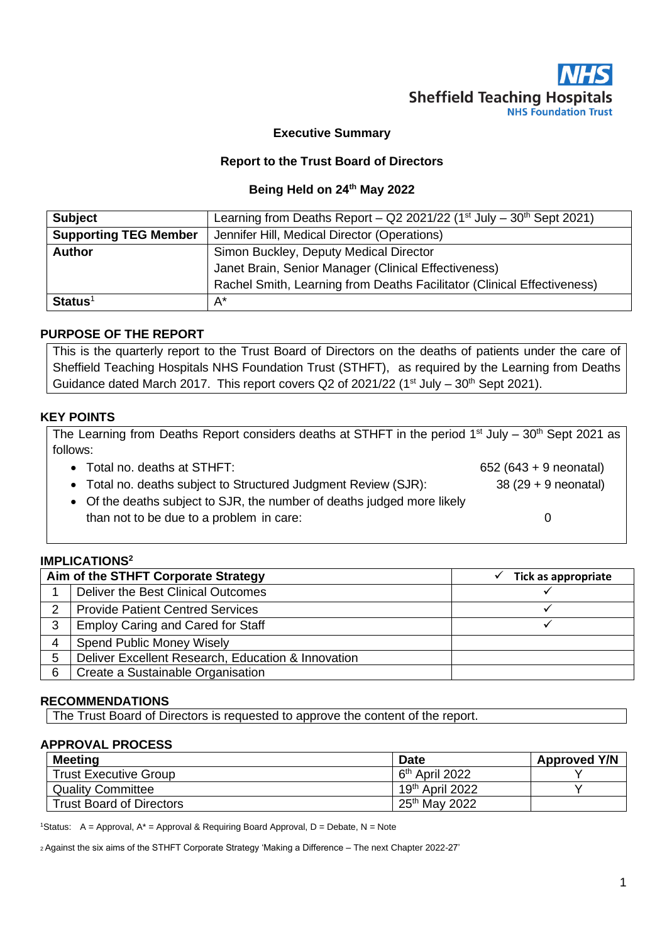

#### **Executive Summary**

#### **Report to the Trust Board of Directors**

#### **Being Held on 24 th May 2022**

| <b>Subject</b>               | Learning from Deaths Report - Q2 2021/22 ( $1st$ July - $30th$ Sept 2021) |  |
|------------------------------|---------------------------------------------------------------------------|--|
| <b>Supporting TEG Member</b> | Jennifer Hill, Medical Director (Operations)                              |  |
| <b>Author</b>                | Simon Buckley, Deputy Medical Director                                    |  |
|                              | Janet Brain, Senior Manager (Clinical Effectiveness)                      |  |
|                              | Rachel Smith, Learning from Deaths Facilitator (Clinical Effectiveness)   |  |
| $Status1$                    | $A^*$                                                                     |  |

#### **PURPOSE OF THE REPORT**

This is the quarterly report to the Trust Board of Directors on the deaths of patients under the care of Sheffield Teaching Hospitals NHS Foundation Trust (STHFT), as required by the Learning from Deaths Guidance dated March 2017. This report covers Q2 of 2021/22 (1<sup>st</sup> July  $-30^{th}$  Sept 2021).

#### **KEY POINTS**

| The Learning from Deaths Report considers deaths at STHFT in the period 1 <sup>st</sup> July – 30 <sup>th</sup> Sept 2021 as |                        |  |  |  |
|------------------------------------------------------------------------------------------------------------------------------|------------------------|--|--|--|
| follows:                                                                                                                     |                        |  |  |  |
| • Total no. deaths at STHFT:                                                                                                 | 652 (643 + 9 neonatal) |  |  |  |
| • Total no. deaths subject to Structured Judgment Review (SJR):                                                              | $38(29 + 9$ neonatal)  |  |  |  |
| • Of the deaths subject to SJR, the number of deaths judged more likely                                                      |                        |  |  |  |
| than not to be due to a problem in care:                                                                                     |                        |  |  |  |

#### **IMPLICATIONS<sup>2</sup>**

| Aim of the STHFT Corporate Strategy |                                                    | Tick as appropriate |
|-------------------------------------|----------------------------------------------------|---------------------|
|                                     | Deliver the Best Clinical Outcomes                 |                     |
| $\overline{2}$                      | <b>Provide Patient Centred Services</b>            |                     |
| 3                                   | <b>Employ Caring and Cared for Staff</b>           |                     |
| 4                                   | <b>Spend Public Money Wisely</b>                   |                     |
| 5                                   | Deliver Excellent Research, Education & Innovation |                     |
| 6                                   | Create a Sustainable Organisation                  |                     |

#### **RECOMMENDATIONS**

The Trust Board of Directors is requested to approve the content of the report.

#### **APPROVAL PROCESS**

| <b>Meeting</b>                  | <b>Date</b>                 | <b>Approved Y/N</b> |
|---------------------------------|-----------------------------|---------------------|
| <b>Trust Executive Group</b>    | 6 <sup>th</sup> April 2022  |                     |
| <b>Quality Committee</b>        | 19 <sup>th</sup> April 2022 |                     |
| <b>Trust Board of Directors</b> | 25 <sup>th</sup> May 2022   |                     |

<sup>1</sup>Status: A = Approval,  $A^*$  = Approval & Requiring Board Approval, D = Debate, N = Note

<sup>2</sup>Against the six aims of the STHFT Corporate Strategy 'Making a Difference – The next Chapter 2022-27'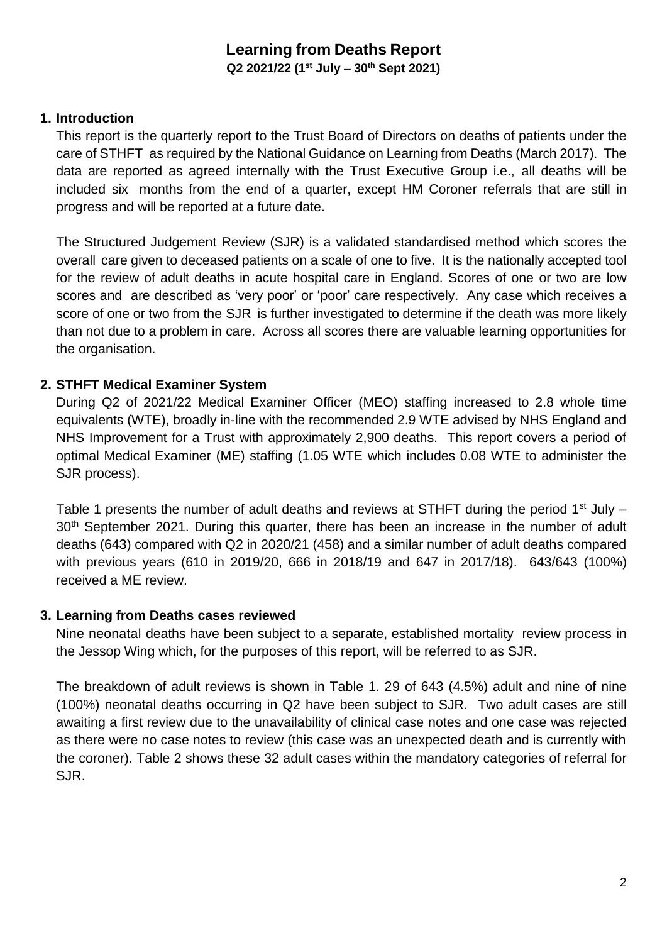# **Learning from Deaths Report**

**Q2 2021/22 (1 st July – 30th Sept 2021)**

# **1. Introduction**

This report is the quarterly report to the Trust Board of Directors on deaths of patients under the care of STHFT as required by the National Guidance on Learning from Deaths (March 2017). The data are reported as agreed internally with the Trust Executive Group i.e., all deaths will be included six months from the end of a quarter, except HM Coroner referrals that are still in progress and will be reported at a future date.

The Structured Judgement Review (SJR) is a validated standardised method which scores the overall care given to deceased patients on a scale of one to five. It is the nationally accepted tool for the review of adult deaths in acute hospital care in England. Scores of one or two are low scores and are described as 'very poor' or 'poor' care respectively. Any case which receives a score of one or two from the SJR is further investigated to determine if the death was more likely than not due to a problem in care. Across all scores there are valuable learning opportunities for the organisation.

# **2. STHFT Medical Examiner System**

During Q2 of 2021/22 Medical Examiner Officer (MEO) staffing increased to 2.8 whole time equivalents (WTE), broadly in-line with the recommended 2.9 WTE advised by NHS England and NHS Improvement for a Trust with approximately 2,900 deaths. This report covers a period of optimal Medical Examiner (ME) staffing (1.05 WTE which includes 0.08 WTE to administer the SJR process).

Table 1 presents the number of adult deaths and reviews at STHFT during the period  $1<sup>st</sup>$  July – 30<sup>th</sup> September 2021. During this quarter, there has been an increase in the number of adult deaths (643) compared with Q2 in 2020/21 (458) and a similar number of adult deaths compared with previous years (610 in 2019/20, 666 in 2018/19 and 647 in 2017/18). 643/643 (100%) received a ME review.

## **3. Learning from Deaths cases reviewed**

Nine neonatal deaths have been subject to a separate, established mortality review process in the Jessop Wing which, for the purposes of this report, will be referred to as SJR.

The breakdown of adult reviews is shown in Table 1. 29 of 643 (4.5%) adult and nine of nine (100%) neonatal deaths occurring in Q2 have been subject to SJR. Two adult cases are still awaiting a first review due to the unavailability of clinical case notes and one case was rejected as there were no case notes to review (this case was an unexpected death and is currently with the coroner). Table 2 shows these 32 adult cases within the mandatory categories of referral for SJR.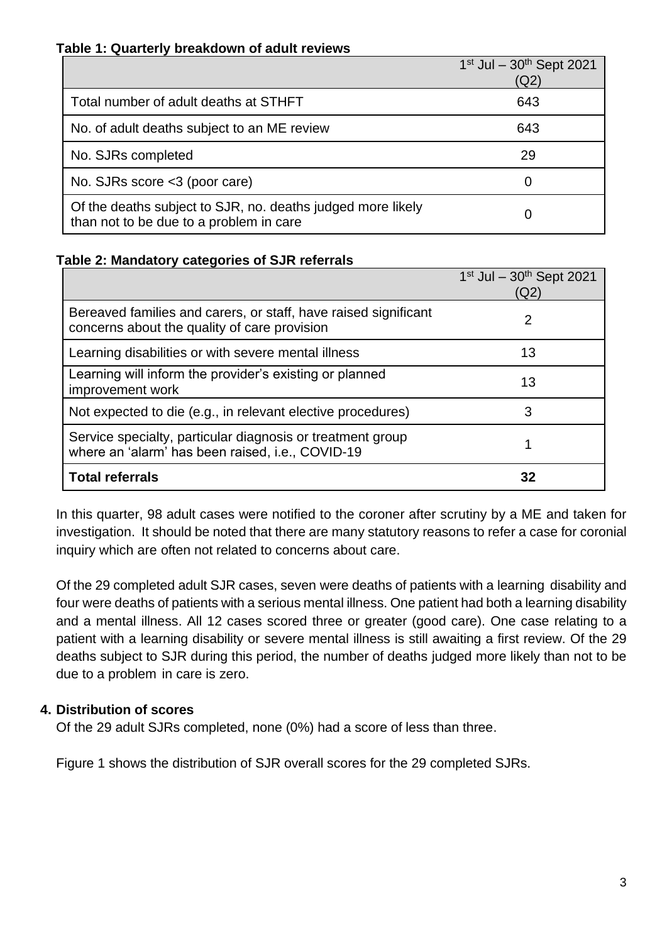### **Table 1: Quarterly breakdown of adult reviews**

|                                                                                                        | $1^{st}$ Jul - $30^{th}$ Sept 2021<br>(Q2) |
|--------------------------------------------------------------------------------------------------------|--------------------------------------------|
| Total number of adult deaths at STHFT                                                                  | 643                                        |
| No. of adult deaths subject to an ME review                                                            | 643                                        |
| No. SJRs completed                                                                                     | 29                                         |
| No. SJRs score <3 (poor care)                                                                          | O                                          |
| Of the deaths subject to SJR, no. deaths judged more likely<br>than not to be due to a problem in care |                                            |

### **Table 2: Mandatory categories of SJR referrals**

|                                                                                                                 | $1st$ Jul - $30th$ Sept 2021<br>(Q2) |
|-----------------------------------------------------------------------------------------------------------------|--------------------------------------|
| Bereaved families and carers, or staff, have raised significant<br>concerns about the quality of care provision | 2                                    |
| Learning disabilities or with severe mental illness                                                             | 13                                   |
| Learning will inform the provider's existing or planned<br>improvement work                                     | 13                                   |
| Not expected to die (e.g., in relevant elective procedures)                                                     | 3                                    |
| Service specialty, particular diagnosis or treatment group<br>where an 'alarm' has been raised, i.e., COVID-19  |                                      |
| <b>Total referrals</b>                                                                                          | 32                                   |

In this quarter, 98 adult cases were notified to the coroner after scrutiny by a ME and taken for investigation. It should be noted that there are many statutory reasons to refer a case for coronial inquiry which are often not related to concerns about care.

Of the 29 completed adult SJR cases, seven were deaths of patients with a learning disability and four were deaths of patients with a serious mental illness. One patient had both a learning disability and a mental illness. All 12 cases scored three or greater (good care). One case relating to a patient with a learning disability or severe mental illness is still awaiting a first review. Of the 29 deaths subject to SJR during this period, the number of deaths judged more likely than not to be due to a problem in care is zero.

## **4. Distribution of scores**

Of the 29 adult SJRs completed, none (0%) had a score of less than three.

Figure 1 shows the distribution of SJR overall scores for the 29 completed SJRs.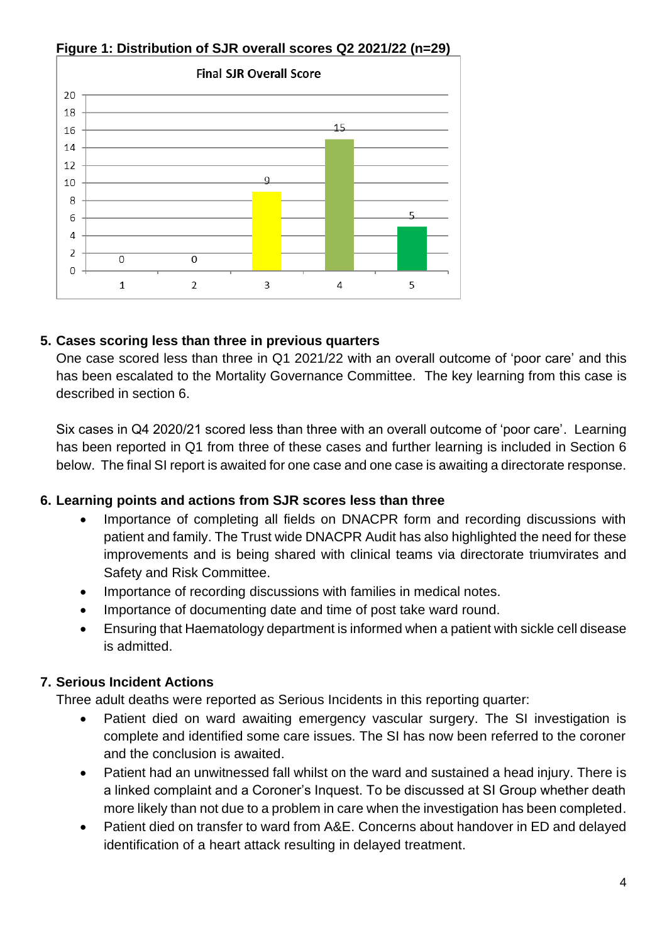

## **Figure 1: Distribution of SJR overall scores Q2 2021/22 (n=29)**

## **5. Cases scoring less than three in previous quarters**

One case scored less than three in Q1 2021/22 with an overall outcome of 'poor care' and this has been escalated to the Mortality Governance Committee. The key learning from this case is described in section 6.

Six cases in Q4 2020/21 scored less than three with an overall outcome of 'poor care'. Learning has been reported in Q1 from three of these cases and further learning is included in Section 6 below. The final SI report is awaited for one case and one case is awaiting a directorate response.

## **6. Learning points and actions from SJR scores less than three**

- Importance of completing all fields on DNACPR form and recording discussions with patient and family. The Trust wide DNACPR Audit has also highlighted the need for these improvements and is being shared with clinical teams via directorate triumvirates and Safety and Risk Committee.
- Importance of recording discussions with families in medical notes.
- Importance of documenting date and time of post take ward round.
- Ensuring that Haematology department is informed when a patient with sickle cell disease is admitted.

## **7. Serious Incident Actions**

Three adult deaths were reported as Serious Incidents in this reporting quarter:

- Patient died on ward awaiting emergency vascular surgery. The SI investigation is complete and identified some care issues. The SI has now been referred to the coroner and the conclusion is awaited.
- Patient had an unwitnessed fall whilst on the ward and sustained a head injury. There is a linked complaint and a Coroner's Inquest. To be discussed at SI Group whether death more likely than not due to a problem in care when the investigation has been completed.
- Patient died on transfer to ward from A&E. Concerns about handover in ED and delayed identification of a heart attack resulting in delayed treatment.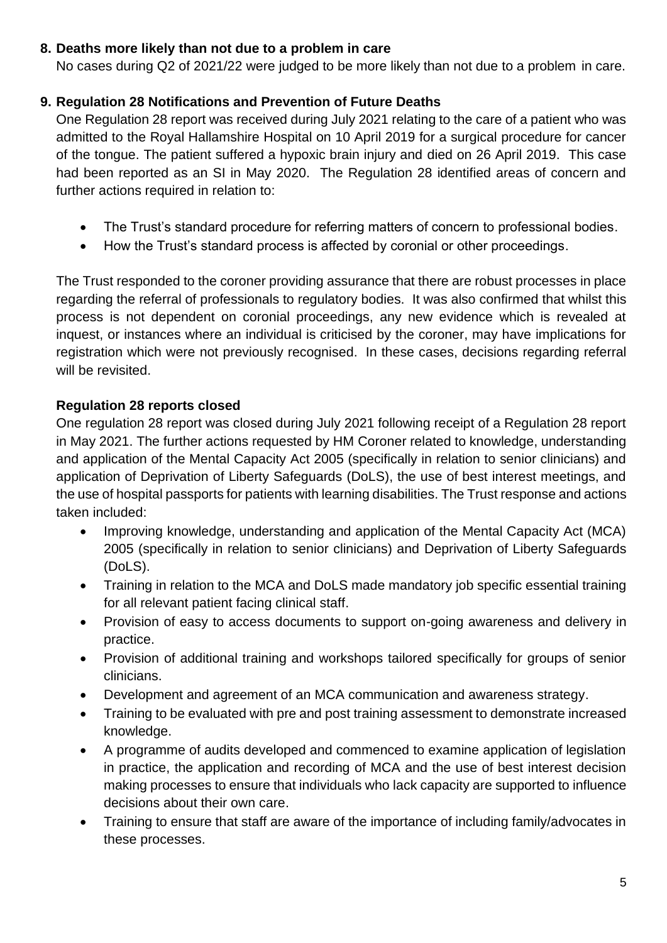## **8. Deaths more likely than not due to a problem in care**

No cases during Q2 of 2021/22 were judged to be more likely than not due to a problem in care.

# **9. Regulation 28 Notifications and Prevention of Future Deaths**

One Regulation 28 report was received during July 2021 relating to the care of a patient who was admitted to the Royal Hallamshire Hospital on 10 April 2019 for a surgical procedure for cancer of the tongue. The patient suffered a hypoxic brain injury and died on 26 April 2019. This case had been reported as an SI in May 2020. The Regulation 28 identified areas of concern and further actions required in relation to:

- The Trust's standard procedure for referring matters of concern to professional bodies.
- How the Trust's standard process is affected by coronial or other proceedings.

The Trust responded to the coroner providing assurance that there are robust processes in place regarding the referral of professionals to regulatory bodies. It was also confirmed that whilst this process is not dependent on coronial proceedings, any new evidence which is revealed at inquest, or instances where an individual is criticised by the coroner, may have implications for registration which were not previously recognised. In these cases, decisions regarding referral will be revisited.

# **Regulation 28 reports closed**

One regulation 28 report was closed during July 2021 following receipt of a Regulation 28 report in May 2021. The further actions requested by HM Coroner related to knowledge, understanding and application of the Mental Capacity Act 2005 (specifically in relation to senior clinicians) and application of Deprivation of Liberty Safeguards (DoLS), the use of best interest meetings, and the use of hospital passports for patients with learning disabilities. The Trust response and actions taken included:

- Improving knowledge, understanding and application of the Mental Capacity Act (MCA) 2005 (specifically in relation to senior clinicians) and Deprivation of Liberty Safeguards (DoLS).
- Training in relation to the MCA and DoLS made mandatory job specific essential training for all relevant patient facing clinical staff.
- Provision of easy to access documents to support on-going awareness and delivery in practice.
- Provision of additional training and workshops tailored specifically for groups of senior clinicians.
- Development and agreement of an MCA communication and awareness strategy.
- Training to be evaluated with pre and post training assessment to demonstrate increased knowledge.
- A programme of audits developed and commenced to examine application of legislation in practice, the application and recording of MCA and the use of best interest decision making processes to ensure that individuals who lack capacity are supported to influence decisions about their own care.
- Training to ensure that staff are aware of the importance of including family/advocates in these processes.